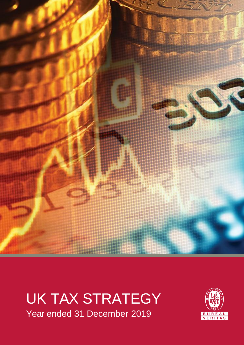

# UK TAX STRATEGY Year ended 31 December 2019

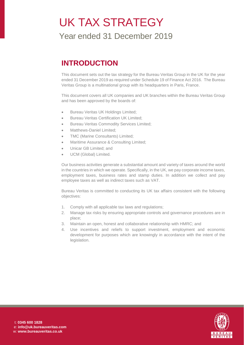# UK TAX STRATEGY

Year ended 31 December 2019

### **INTRODUCTION**

This document sets out the tax strategy for the Bureau Veritas Group in the UK for the year ended 31 December 2019 as required under Schedule 19 of Finance Act 2016. The Bureau Veritas Group is a multinational group with its headquarters in Paris, France.

This document covers all UK companies and UK branches within the Bureau Veritas Group and has been approved by the boards of:

- **Bureau Veritas UK Holdings Limited;**
- **•** Bureau Veritas Certification UK Limited;
- Bureau Veritas Commodity Services Limited;
- Matthews-Daniel Limited;
- TMC (Marine Consultants) Limited;
- Maritime Assurance & Consulting Limited;
- Unicar GB Limited; and
- UCM (Global) Limited.

Our business activities generate a substantial amount and variety of taxes around the world in the countries in which we operate. Specifically, in the UK, we pay corporate income taxes, employment taxes, business rates and stamp duties. In addition we collect and pay employee taxes as well as indirect taxes such as VAT.

Bureau Veritas is committed to conducting its UK tax affairs consistent with the following objectives:

- 1. Comply with all applicable tax laws and regulations;
- 2. Manage tax risks by ensuring appropriate controls and governance procedures are in place;
- 3. Maintain an open, honest and collaborative relationship with HMRC; and
- 4. Use incentives and reliefs to support investment, employment and economic development for purposes which are knowingly in accordance with the intent of the legislation.

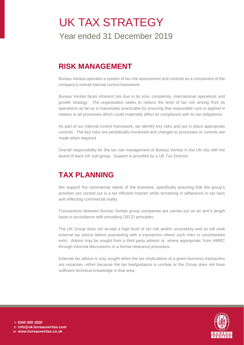# UK TAX STRATEGY

Year ended 31 December 2019

#### **RISK MANAGEMENT**

Bureau Veritas operates a system of tax risk assessment and controls as a component of the company's overall internal control framework.

Bureau Veritas faces inherent risk due to its size, complexity, international operations and growth strategy. The organisation seeks to reduce the level of tax risk arising from its operations as far as is reasonably practicable by ensuring that reasonable care is applied in relation to all processes which could materially affect its compliance with its tax obligations.

As part of our internal control framework, we identify key risks and put in place appropriate controls. The key risks are periodically monitored and changes to processes or controls are made when required.

Overall responsibility for the tax risk management of Bureau Veritas in the UK sits with the board of each UK sub-group. Support is provided by a UK Tax Director.

## **TAX PLANNING**

We support the commercial needs of the business, specifically ensuring that the group's activities are carried out in a tax efficient manner while remaining in adherence to tax laws and reflecting commercial reality.

Transactions between Bureau Veritas group companies are carries out on an arm's length basis in accordance with prevailing OECD principles.

The UK Group does not accept a high level of tax risk and/or uncertainty and so will seek external tax advice before proceeding with a transaction where such risks or uncertainties exist. Advice may be sought from a third party advisor or, where appropriate, from HMRC through informal discussions or a formal clearance procedure.

External tax advice is only sought when the tax implications of a given business transaction are uncertain, either because the tax law/guidance is unclear or the Group does not have sufficient technical knowledge in that area.